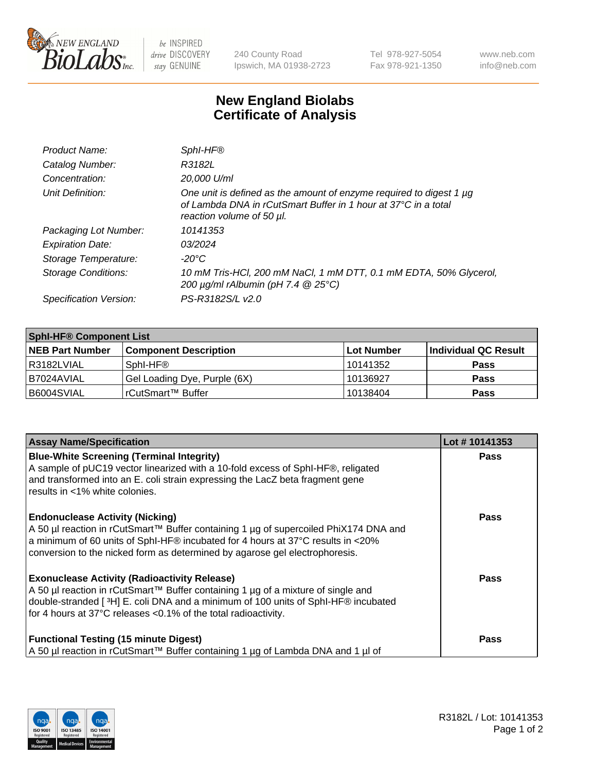

 $be$  INSPIRED drive DISCOVERY stay GENUINE

240 County Road Ipswich, MA 01938-2723 Tel 978-927-5054 Fax 978-921-1350 www.neb.com info@neb.com

## **New England Biolabs Certificate of Analysis**

| Product Name:              | SphI-HF®                                                                                                                                                           |
|----------------------------|--------------------------------------------------------------------------------------------------------------------------------------------------------------------|
| Catalog Number:            | R3182L                                                                                                                                                             |
| Concentration:             | 20,000 U/ml                                                                                                                                                        |
| Unit Definition:           | One unit is defined as the amount of enzyme required to digest 1 µg<br>of Lambda DNA in rCutSmart Buffer in 1 hour at 37°C in a total<br>reaction volume of 50 µl. |
| Packaging Lot Number:      | 10141353                                                                                                                                                           |
| <b>Expiration Date:</b>    | 03/2024                                                                                                                                                            |
| Storage Temperature:       | $-20^{\circ}$ C                                                                                                                                                    |
| <b>Storage Conditions:</b> | 10 mM Tris-HCl, 200 mM NaCl, 1 mM DTT, 0.1 mM EDTA, 50% Glycerol,<br>200 $\mu$ g/ml rAlbumin (pH 7.4 $@$ 25°C)                                                     |
| Specification Version:     | PS-R3182S/L v2.0                                                                                                                                                   |

| <b>Sphl-HF® Component List</b> |                              |            |                      |  |  |
|--------------------------------|------------------------------|------------|----------------------|--|--|
| <b>NEB Part Number</b>         | <b>Component Description</b> | Lot Number | Individual QC Result |  |  |
| l R3182LVIAL                   | Sphl-HF <sup>®</sup>         | 10141352   | <b>Pass</b>          |  |  |
| I B7024AVIAL                   | Gel Loading Dye, Purple (6X) | 10136927   | <b>Pass</b>          |  |  |
| B6004SVIAL                     | rCutSmart™ Buffer            | 10138404   | <b>Pass</b>          |  |  |

| <b>Assay Name/Specification</b>                                                                                                                                                                                                                                                                  | Lot #10141353 |
|--------------------------------------------------------------------------------------------------------------------------------------------------------------------------------------------------------------------------------------------------------------------------------------------------|---------------|
| <b>Blue-White Screening (Terminal Integrity)</b><br>A sample of pUC19 vector linearized with a 10-fold excess of SphI-HF®, religated<br>and transformed into an E. coli strain expressing the LacZ beta fragment gene<br>results in <1% white colonies.                                          | <b>Pass</b>   |
| <b>Endonuclease Activity (Nicking)</b><br>A 50 µl reaction in rCutSmart™ Buffer containing 1 µg of supercoiled PhiX174 DNA and<br>a minimum of 60 units of SphI-HF® incubated for 4 hours at 37°C results in <20%<br>conversion to the nicked form as determined by agarose gel electrophoresis. | Pass          |
| <b>Exonuclease Activity (Radioactivity Release)</b><br>A 50 µl reaction in rCutSmart™ Buffer containing 1 µg of a mixture of single and<br>double-stranded [3H] E. coli DNA and a minimum of 100 units of SphI-HF® incubated<br>for 4 hours at 37°C releases < 0.1% of the total radioactivity.  | Pass          |
| <b>Functional Testing (15 minute Digest)</b><br>  A 50 µl reaction in rCutSmart™ Buffer containing 1 µg of Lambda DNA and 1 µl of                                                                                                                                                                | Pass          |